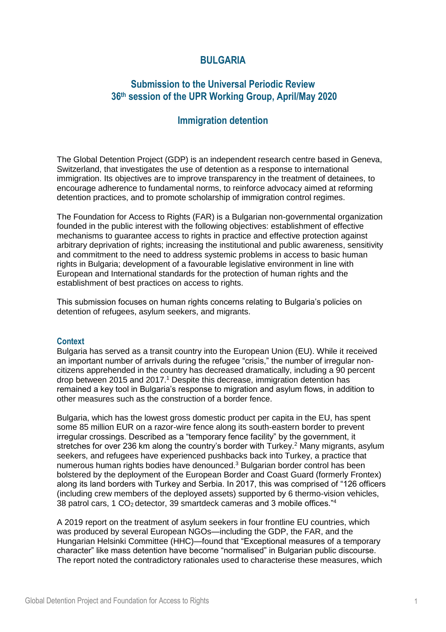## **BULGARIA**

# **Submission to the Universal Periodic Review 36th session of the UPR Working Group, April/May 2020**

## **Immigration detention**

The Global Detention Project (GDP) is an independent research centre based in Geneva, Switzerland, that investigates the use of detention as a response to international immigration. Its objectives are to improve transparency in the treatment of detainees, to encourage adherence to fundamental norms, to reinforce advocacy aimed at reforming detention practices, and to promote scholarship of immigration control regimes.

The Foundation for Access to Rights (FAR) is a Bulgarian non-governmental organization founded in the public interest with the following objectives: establishment of effective mechanisms to guarantee access to rights in practice and effective protection against arbitrary deprivation of rights; increasing the institutional and public awareness, sensitivity and commitment to the need to address systemic problems in access to basic human rights in Bulgaria; development of a favourable legislative environment in line with European and International standards for the protection of human rights and the establishment of best practices on access to rights.

This submission focuses on human rights concerns relating to Bulgaria's policies on detention of refugees, asylum seekers, and migrants.

## **Context**

Bulgaria has served as a transit country into the European Union (EU). While it received an important number of arrivals during the refugee "crisis," the number of irregular noncitizens apprehended in the country has decreased dramatically, including a 90 percent drop between 2015 and 2017.<sup>1</sup> Despite this decrease, immigration detention has remained a key tool in Bulgaria's response to migration and asylum flows, in addition to other measures such as the construction of a border fence.

Bulgaria, which has the lowest gross domestic product per capita in the EU, has spent some 85 million EUR on a razor-wire fence along its south-eastern border to prevent irregular crossings. Described as a "temporary fence facility" by the government, it stretches for over 236 km along the country's border with Turkey.<sup>2</sup> Many migrants, asylum seekers, and refugees have experienced pushbacks back into Turkey, a practice that numerous human rights bodies have denounced.<sup>3</sup> Bulgarian border control has been bolstered by the deployment of the European Border and Coast Guard (formerly Frontex) along its land borders with Turkey and Serbia. In 2017, this was comprised of "126 officers (including crew members of the deployed assets) supported by 6 thermo-vision vehicles, 38 patrol cars, 1  $CO<sub>2</sub>$  detector, 39 smartdeck cameras and 3 mobile offices."<sup>4</sup>

A 2019 report on the treatment of asylum seekers in four frontline EU countries, which was produced by several European NGOs—including the GDP, the FAR, and the Hungarian Helsinki Committee (HHC)—found that "Exceptional measures of a temporary character" like mass detention have become "normalised" in Bulgarian public discourse. The report noted the contradictory rationales used to characterise these measures, which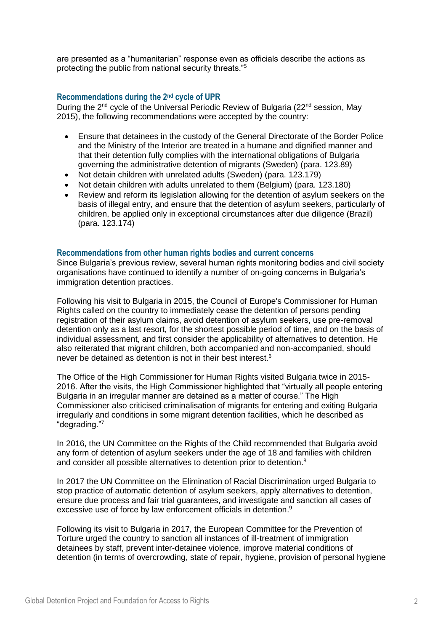are presented as a "humanitarian" response even as officials describe the actions as protecting the public from national security threats."<sup>5</sup>

#### **Recommendations during the 2nd cycle of UPR**

During the 2<sup>nd</sup> cycle of the Universal Periodic Review of Bulgaria (22<sup>nd</sup> session, May 2015), the following recommendations were accepted by the country:

- Ensure that detainees in the custody of the General Directorate of the Border Police and the Ministry of the Interior are treated in a humane and dignified manner and that their detention fully complies with the international obligations of Bulgaria governing the administrative detention of migrants (Sweden) (para. 123.89)
- Not detain children with unrelated adults (Sweden) (para. 123.179)
- Not detain children with adults unrelated to them (Belgium) (para. 123.180)
- Review and reform its legislation allowing for the detention of asylum seekers on the basis of illegal entry, and ensure that the detention of asylum seekers, particularly of children, be applied only in exceptional circumstances after due diligence (Brazil) (para. 123.174)

#### **Recommendations from other human rights bodies and current concerns**

Since Bulgaria's previous review, several human rights monitoring bodies and civil society organisations have continued to identify a number of on-going concerns in Bulgaria's immigration detention practices.

Following his visit to Bulgaria in 2015, the Council of Europe's Commissioner for Human Rights called on the country to immediately cease the detention of persons pending registration of their asylum claims, avoid detention of asylum seekers, use pre-removal detention only as a last resort, for the shortest possible period of time, and on the basis of individual assessment, and first consider the applicability of alternatives to detention. He also reiterated that migrant children, both accompanied and non-accompanied, should never be detained as detention is not in their best interest.<sup>6</sup>

The Office of the High Commissioner for Human Rights visited Bulgaria twice in 2015- 2016. After the visits, the High Commissioner highlighted that "virtually all people entering Bulgaria in an irregular manner are detained as a matter of course." The High Commissioner also criticised criminalisation of migrants for entering and exiting Bulgaria irregularly and conditions in some migrant detention facilities, which he described as "degrading."<sup>7</sup>

In 2016, the UN Committee on the Rights of the Child recommended that Bulgaria avoid any form of detention of asylum seekers under the age of 18 and families with children and consider all possible alternatives to detention prior to detention.<sup>8</sup>

In 2017 the UN Committee on the Elimination of Racial Discrimination urged Bulgaria to stop practice of automatic detention of asylum seekers, apply alternatives to detention, ensure due process and fair trial guarantees, and investigate and sanction all cases of excessive use of force by law enforcement officials in detention.<sup>9</sup>

Following its visit to Bulgaria in 2017, the European Committee for the Prevention of Torture urged the country to sanction all instances of ill-treatment of immigration detainees by staff, prevent inter-detainee violence, improve material conditions of detention (in terms of overcrowding, state of repair, hygiene, provision of personal hygiene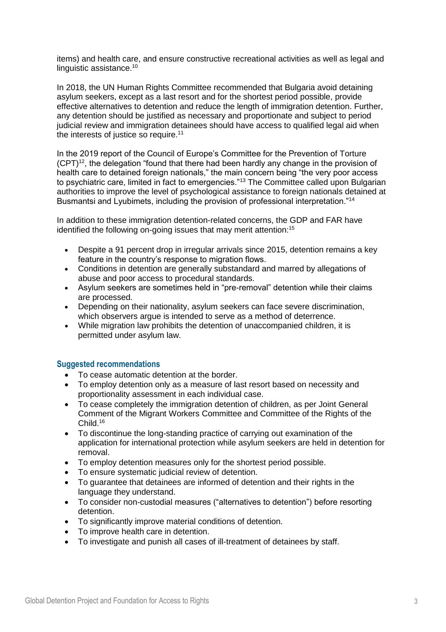items) and health care, and ensure constructive recreational activities as well as legal and linguistic assistance. 10

In 2018, the UN Human Rights Committee recommended that Bulgaria avoid detaining asylum seekers, except as a last resort and for the shortest period possible, provide effective alternatives to detention and reduce the length of immigration detention. Further, any detention should be justified as necessary and proportionate and subject to period judicial review and immigration detainees should have access to qualified legal aid when the interests of justice so require.<sup>11</sup>

In the 2019 report of the Council of Europe's Committee for the Prevention of Torture  $(CPT)^{12}$ , the delegation "found that there had been hardly any change in the provision of health care to detained foreign nationals," the main concern being "the very poor access to psychiatric care, limited in fact to emergencies."<sup>13</sup> The Committee called upon Bulgarian authorities to improve the level of psychological assistance to foreign nationals detained at Busmantsi and Lyubimets, including the provision of professional interpretation."<sup>14</sup>

In addition to these immigration detention-related concerns, the GDP and FAR have identified the following on-going issues that may merit attention:<sup>15</sup>

- Despite a 91 percent drop in irregular arrivals since 2015, detention remains a key feature in the country's response to migration flows.
- Conditions in detention are generally substandard and marred by allegations of abuse and poor access to procedural standards.
- Asylum seekers are sometimes held in "pre-removal" detention while their claims are processed.
- Depending on their nationality, asylum seekers can face severe discrimination, which observers argue is intended to serve as a method of deterrence.
- While migration law prohibits the detention of unaccompanied children, it is permitted under asylum law.

## **Suggested recommendations**

- To cease automatic detention at the border.
- To employ detention only as a measure of last resort based on necessity and proportionality assessment in each individual case.
- To cease completely the immigration detention of children, as per Joint General Comment of the Migrant Workers Committee and Committee of the Rights of the Child.<sup>16</sup>
- To discontinue the long-standing practice of carrying out examination of the application for international protection while asylum seekers are held in detention for removal.
- To employ detention measures only for the shortest period possible.
- To ensure systematic judicial review of detention.
- To guarantee that detainees are informed of detention and their rights in the language they understand.
- To consider non-custodial measures ("alternatives to detention") before resorting detention.
- To significantly improve material conditions of detention.
- To improve health care in detention.
- To investigate and punish all cases of ill-treatment of detainees by staff.